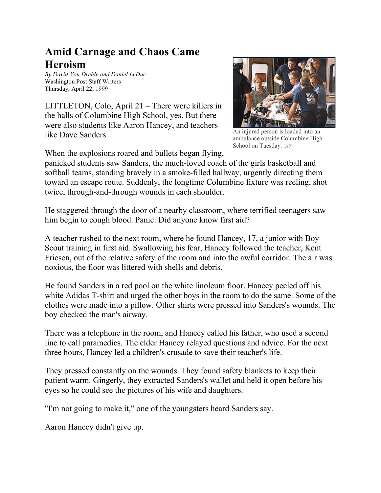## **Amid Carnage and Chaos Came Heroism**

*By David Von Drehle and Daniel LeDuc* Washington Post Staff Writers Thursday, April 22, 1999

LITTLETON, Colo, April 21 – There were killers in the halls of Columbine High School, yes. But there were also students like Aaron Hancey, and teachers like Dave Sanders.



An injured person is loaded into an ambulance outside Columbine High School on Tuesday. (AP)

When the explosions roared and bullets began flying,

panicked students saw Sanders, the much-loved coach of the girls basketball and softball teams, standing bravely in a smoke-filled hallway, urgently directing them toward an escape route. Suddenly, the longtime Columbine fixture was reeling, shot twice, through-and-through wounds in each shoulder.

He staggered through the door of a nearby classroom, where terrified teenagers saw him begin to cough blood. Panic: Did anyone know first aid?

A teacher rushed to the next room, where he found Hancey, 17, a junior with Boy Scout training in first aid. Swallowing his fear, Hancey followed the teacher, Kent Friesen, out of the relative safety of the room and into the awful corridor. The air was noxious, the floor was littered with shells and debris.

He found Sanders in a red pool on the white linoleum floor. Hancey peeled off his white Adidas T-shirt and urged the other boys in the room to do the same. Some of the clothes were made into a pillow. Other shirts were pressed into Sanders's wounds. The boy checked the man's airway.

There was a telephone in the room, and Hancey called his father, who used a second line to call paramedics. The elder Hancey relayed questions and advice. For the next three hours, Hancey led a children's crusade to save their teacher's life.

They pressed constantly on the wounds. They found safety blankets to keep their patient warm. Gingerly, they extracted Sanders's wallet and held it open before his eyes so he could see the pictures of his wife and daughters.

"I'm not going to make it," one of the youngsters heard Sanders say.

Aaron Hancey didn't give up.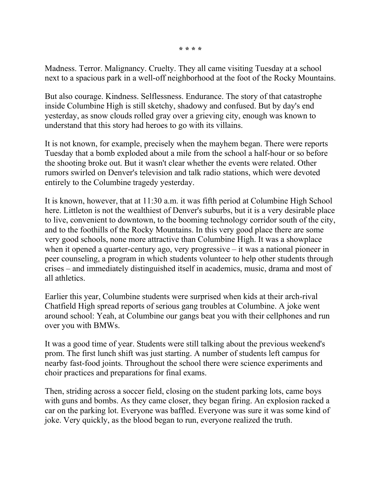**\* \* \* \***

Madness. Terror. Malignancy. Cruelty. They all came visiting Tuesday at a school next to a spacious park in a well-off neighborhood at the foot of the Rocky Mountains.

But also courage. Kindness. Selflessness. Endurance. The story of that catastrophe inside Columbine High is still sketchy, shadowy and confused. But by day's end yesterday, as snow clouds rolled gray over a grieving city, enough was known to understand that this story had heroes to go with its villains.

It is not known, for example, precisely when the mayhem began. There were reports Tuesday that a bomb exploded about a mile from the school a half-hour or so before the shooting broke out. But it wasn't clear whether the events were related. Other rumors swirled on Denver's television and talk radio stations, which were devoted entirely to the Columbine tragedy yesterday.

It is known, however, that at 11:30 a.m. it was fifth period at Columbine High School here. Littleton is not the wealthiest of Denver's suburbs, but it is a very desirable place to live, convenient to downtown, to the booming technology corridor south of the city, and to the foothills of the Rocky Mountains. In this very good place there are some very good schools, none more attractive than Columbine High. It was a showplace when it opened a quarter-century ago, very progressive – it was a national pioneer in peer counseling, a program in which students volunteer to help other students through crises – and immediately distinguished itself in academics, music, drama and most of all athletics.

Earlier this year, Columbine students were surprised when kids at their arch-rival Chatfield High spread reports of serious gang troubles at Columbine. A joke went around school: Yeah, at Columbine our gangs beat you with their cellphones and run over you with BMWs.

It was a good time of year. Students were still talking about the previous weekend's prom. The first lunch shift was just starting. A number of students left campus for nearby fast-food joints. Throughout the school there were science experiments and choir practices and preparations for final exams.

Then, striding across a soccer field, closing on the student parking lots, came boys with guns and bombs. As they came closer, they began firing. An explosion racked a car on the parking lot. Everyone was baffled. Everyone was sure it was some kind of joke. Very quickly, as the blood began to run, everyone realized the truth.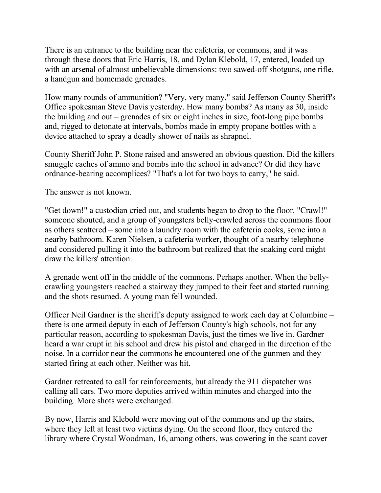There is an entrance to the building near the cafeteria, or commons, and it was through these doors that Eric Harris, 18, and Dylan Klebold, 17, entered, loaded up with an arsenal of almost unbelievable dimensions: two sawed-off shotguns, one rifle, a handgun and homemade grenades.

How many rounds of ammunition? "Very, very many," said Jefferson County Sheriff's Office spokesman Steve Davis yesterday. How many bombs? As many as 30, inside the building and out – grenades of six or eight inches in size, foot-long pipe bombs and, rigged to detonate at intervals, bombs made in empty propane bottles with a device attached to spray a deadly shower of nails as shrapnel.

County Sheriff John P. Stone raised and answered an obvious question. Did the killers smuggle caches of ammo and bombs into the school in advance? Or did they have ordnance-bearing accomplices? "That's a lot for two boys to carry," he said.

The answer is not known.

"Get down!" a custodian cried out, and students began to drop to the floor. "Crawl!" someone shouted, and a group of youngsters belly-crawled across the commons floor as others scattered – some into a laundry room with the cafeteria cooks, some into a nearby bathroom. Karen Nielsen, a cafeteria worker, thought of a nearby telephone and considered pulling it into the bathroom but realized that the snaking cord might draw the killers' attention.

A grenade went off in the middle of the commons. Perhaps another. When the bellycrawling youngsters reached a stairway they jumped to their feet and started running and the shots resumed. A young man fell wounded.

Officer Neil Gardner is the sheriff's deputy assigned to work each day at Columbine – there is one armed deputy in each of Jefferson County's high schools, not for any particular reason, according to spokesman Davis, just the times we live in. Gardner heard a war erupt in his school and drew his pistol and charged in the direction of the noise. In a corridor near the commons he encountered one of the gunmen and they started firing at each other. Neither was hit.

Gardner retreated to call for reinforcements, but already the 911 dispatcher was calling all cars. Two more deputies arrived within minutes and charged into the building. More shots were exchanged.

By now, Harris and Klebold were moving out of the commons and up the stairs, where they left at least two victims dying. On the second floor, they entered the library where Crystal Woodman, 16, among others, was cowering in the scant cover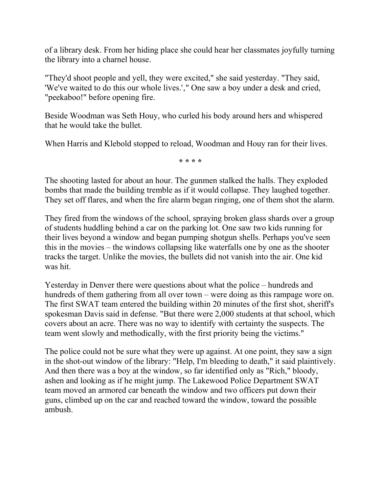of a library desk. From her hiding place she could hear her classmates joyfully turning the library into a charnel house.

"They'd shoot people and yell, they were excited," she said yesterday. "They said, 'We've waited to do this our whole lives.'," One saw a boy under a desk and cried, "peekaboo!" before opening fire.

Beside Woodman was Seth Houy, who curled his body around hers and whispered that he would take the bullet.

When Harris and Klebold stopped to reload, Woodman and Houy ran for their lives.

**\* \* \* \***

The shooting lasted for about an hour. The gunmen stalked the halls. They exploded bombs that made the building tremble as if it would collapse. They laughed together. They set off flares, and when the fire alarm began ringing, one of them shot the alarm.

They fired from the windows of the school, spraying broken glass shards over a group of students huddling behind a car on the parking lot. One saw two kids running for their lives beyond a window and began pumping shotgun shells. Perhaps you've seen this in the movies – the windows collapsing like waterfalls one by one as the shooter tracks the target. Unlike the movies, the bullets did not vanish into the air. One kid was hit.

Yesterday in Denver there were questions about what the police – hundreds and hundreds of them gathering from all over town – were doing as this rampage wore on. The first SWAT team entered the building within 20 minutes of the first shot, sheriff's spokesman Davis said in defense. "But there were 2,000 students at that school, which covers about an acre. There was no way to identify with certainty the suspects. The team went slowly and methodically, with the first priority being the victims."

The police could not be sure what they were up against. At one point, they saw a sign in the shot-out window of the library: "Help, I'm bleeding to death," it said plaintively. And then there was a boy at the window, so far identified only as "Rich," bloody, ashen and looking as if he might jump. The Lakewood Police Department SWAT team moved an armored car beneath the window and two officers put down their guns, climbed up on the car and reached toward the window, toward the possible ambush.